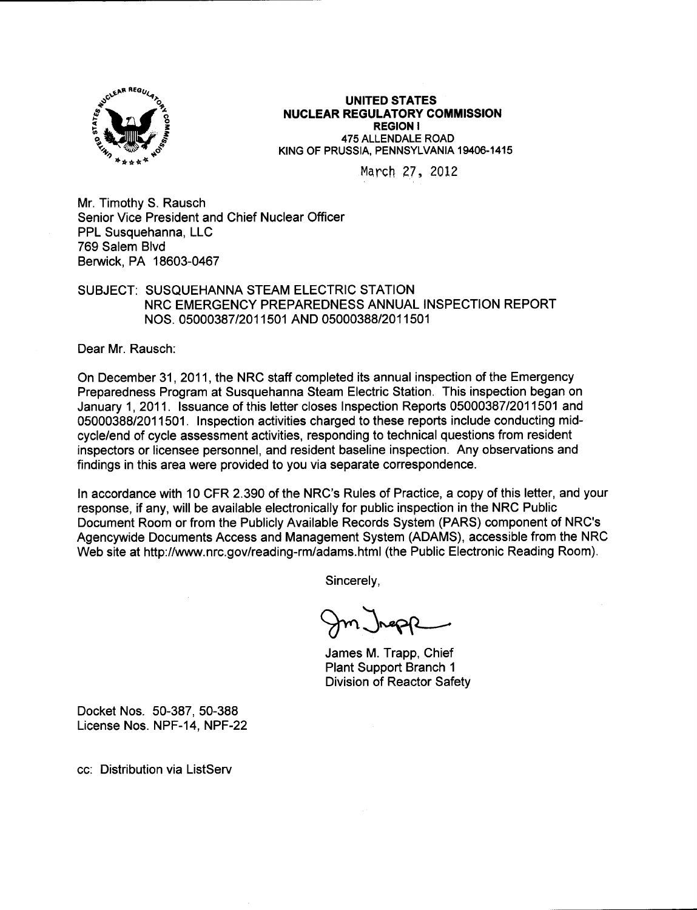

UNITED STATES NUCLEAR REGULATORY COMMISSION REGION I 475 ALLENDALE ROAD KING OF PRUSSIA. PENNSYLVANIA 19406-1415

March 27, 2012

Mr. Timothy S. Rausch Senior Vice President and Chief Nuclear Officer PPL Susquehanna, LLC 769 Salem Blvd Berwick, PA 18603-0467

## SUBJECT: SUSQUEHANNA STEAM ELECTRIC STATION NRC EMERGENCY PREPAREDNESS ANNUAL INSPECTION REPORT NOS. 05000387 12011 501 AND 05000388/201 1501

Dear Mr. Rausch:

On December 31 , 2011, the NRC staff completed its annual inspection of the Emergency Preparedness Program at Susquehanna Steam Electric Station. This inspection began on January 1,2011. lssuance of this letter closes Inspection Reports 05000387/2011501 and 05000388/2011501. Inspection activities charged to these reports include conducting midcycle/end of cycle assessment activities, responding to technical questions from resident inspectors or licensee personnel, and resident baseline inspection. Any observations and findings in this area were provided to you via separate correspondence.

In accordance with 10 CFR 2.390 of the NRC's Rules of Practice, a copy of this letter, and your response, if any, will be available electronically for public inspection in the NRC Public Document Room or from the Publicly Available Records System (PARS) component of NRC's Agencywide Documents Access and Management System (ADAMS), accessible from the NRC Web site at http://www.nrc.gov/reading-rm/adams.html (the Public Electronic Reading Room).

Sincerely,

Im Inepp

James M. Trapp, Chief Plant Support Branch <sup>1</sup> Division of Reactor Safety

Docket Nos. 50-387. 50-388 License Nos. NPF-14, NPF-22

cc: Distribution via ListServ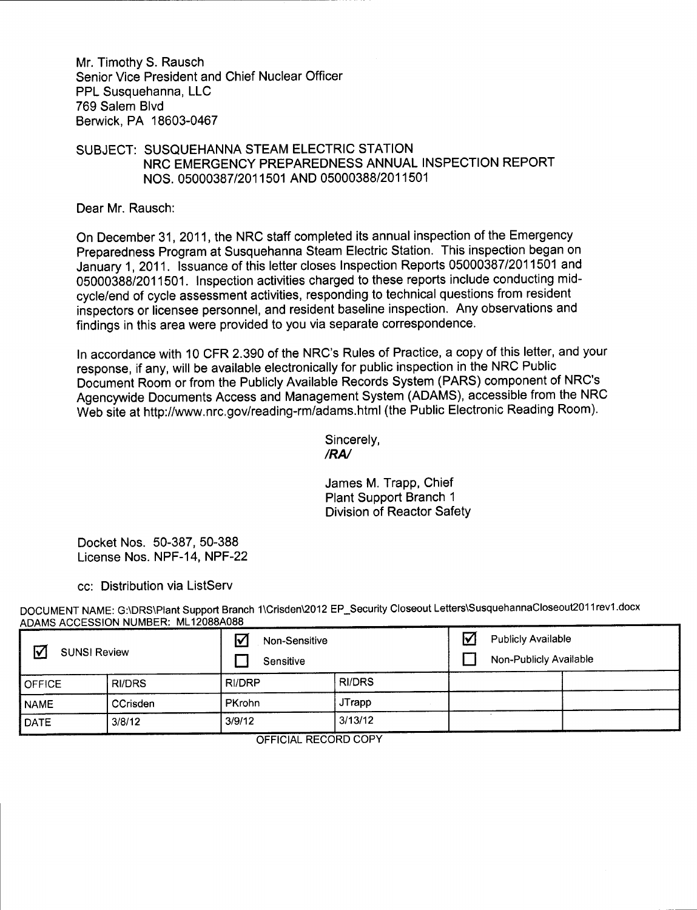Mr. Timothy S. Rausch Senior Vice President and Chief Nuclear Officer PPL Susquehanna, LLC 769 Salem Blvd Berwick, PA 18603-0467

## SUBJECT: SUSQUEHANNA STEAM ELECTRIC STATION NRC EMERGENCY PREPAREDNESS ANNUAL INSPECTION REPORT NOS. 05000387 12011 501 AND 05000388/201 1501

Dear Mr. Rausch:

On December 31, 2011, the NRC staff completed its annual inspection of the Emergency Preparedness Program at Susquehanna Steam Electric Station. This inspection began on January 1, 2011. Issuance of this letter closes Inspection Reports 05000387/2011501 and 05000388/2011501. lnspection activities charged to these reports include conducting midcycle/end of cycle assessment activities, responding to technical questions from resident inspectors or licensee personnel, and resident baseline inspection. Any observations and findings in this area were provided to you via separate correspondence.

In accordance with 10 CFR 2.390 of the NRC's Rules of Practice, a copy of this letter, and your response, if any, will be available electronically for public inspection in the NRC Public Document Room or from the Publicly Available Records System (PARS) component of NRC's Agencywide Documents Access and Management System (ADAMS), accessible from the NRC Web site at http://www.nrc.gov/reading-rm/adams.html (the Public Electronic Reading Room).

> SincerelY, /RN

James M. Trapp, Chief Plant Support Branch 1 Division of Reactor Safety

Docket Nos. 50-387, 50-388 License Nos. NPF-14, NPF-22

cc: Distribution via ListServ

| DOCUMENT NAME: G:\DRS\Plant Support Branch 1\Crisden\2012 EP_Security Closeout Letters\SusquehannaCloseout2011rev1.docx |  |  |  |
|-------------------------------------------------------------------------------------------------------------------------|--|--|--|
| ADAMS ACCESSION NUMBER: ML12088A088                                                                                     |  |  |  |

| 冈<br><b>SUNSI Review</b> |          | Non-Sensitive<br>Sensitive |               | $\boldsymbol{\nabla}$<br><b>Publicly Available</b><br>Non-Publicly Available |
|--------------------------|----------|----------------------------|---------------|------------------------------------------------------------------------------|
| <b>OFFICE</b>            | RI/DRS   | RI/DRP                     | <b>RI/DRS</b> |                                                                              |
| <b>NAME</b>              | CCrisden | <b>PKrohn</b>              | <b>JTrapp</b> |                                                                              |
| <b>DATE</b>              | 3/8/12   | 3/9/12                     | 3/13/12       |                                                                              |

**OFFICIAL RECORD COPY**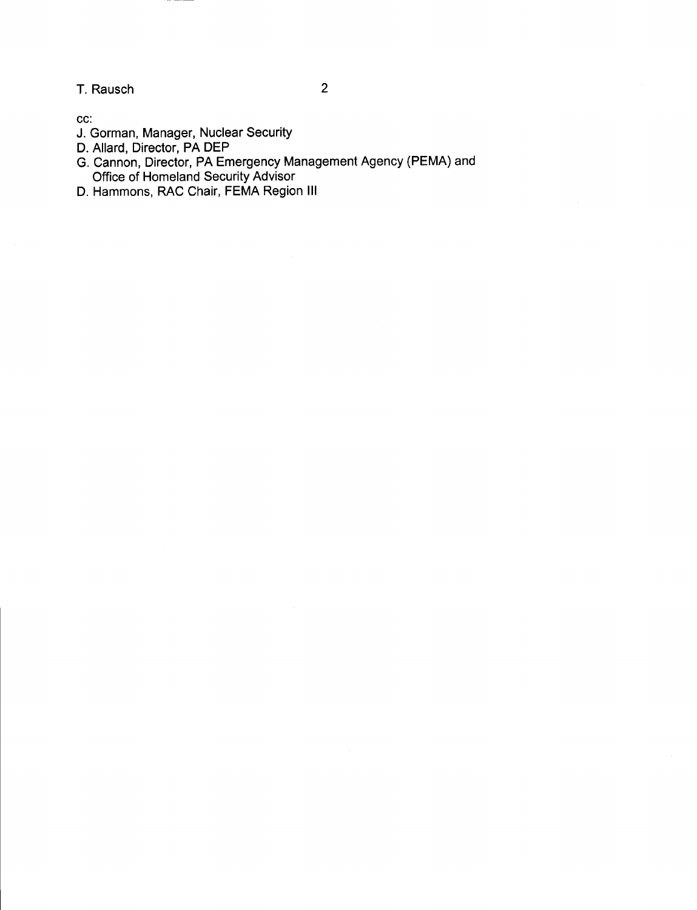T. Rausch

cc:

- J. Gorman, Manager, Nuclear Security
- D. Allard, Director, PA DEP
- G. Cannon, Director, PA Emergency Management Agency (PEMA) and Office of Homeland Security Advisor
- D. Hammons, RAC Chair, FEMA Region lll